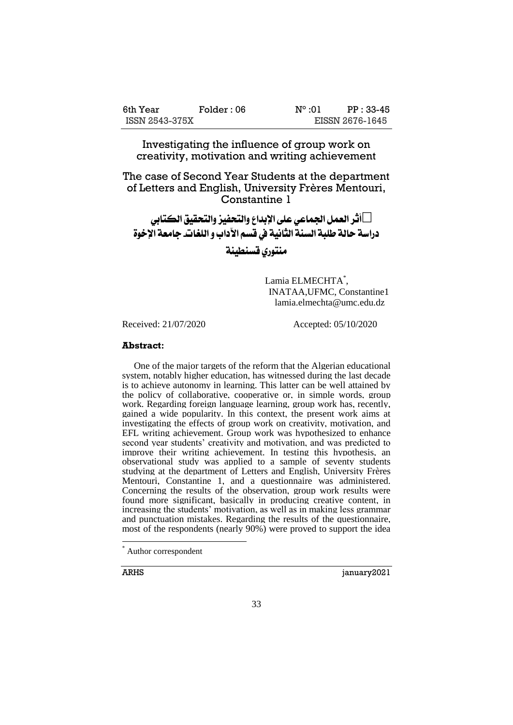| 6th Year       | Folder : 06 | $N^{\circ}$ :01 | PP: 33-45       |
|----------------|-------------|-----------------|-----------------|
| ISSN 2543-375X |             |                 | EISSN 2676-1645 |

Investigating the influence of group work on creativity, motivation and writing achievement

The case of Second Year Students at the department of Letters and English, University Frères Mentouri, Constantine 1

 **أثر العمل اجلماعي على اإلبداع والتحفيز والتحقيق الكتابي دراسة حالة طلبة السنة الثانية يف قسم اآلداب و اللغات- جامعة اإلخوة** 

**منتوري قسنطينة**

Lamia ELMECHTA\* , INATAA,UFMC, Constantine1 [lamia.elmechta@umc.edu.dz](mailto:lamia.elmechta@umc.edu.dz)

Received: 21/07/2020 Accepted: 05/10/2020

#### **Abstract:**

 One of the major targets of the reform that the Algerian educational system, notably higher education, has witnessed during the last decade is to achieve autonomy in learning. This latter can be well attained by the policy of collaborative, cooperative or, in simple words, group work. Regarding foreign language learning, group work has, recently, gained a wide popularity. In this context, the present work aims at investigating the effects of group work on creativity, motivation, and EFL writing achievement. Group work was hypothesized to enhance second year students' creativity and motivation, and was predicted to improve their writing achievement. In testing this hypothesis, an observational study was applied to a sample of seventy students studying at the department of Letters and English, University Frères Mentouri, Constantine 1, and a questionnaire was administered. Concerning the results of the observation, group work results were found more significant, basically in producing creative content, in increasing the students' motivation, as well as in making less grammar and punctuation mistakes. Regarding the results of the questionnaire, most of the respondents (nearly 90%) were proved to support the idea

 $\overline{a}$ 

ARHS january2021

Author correspondent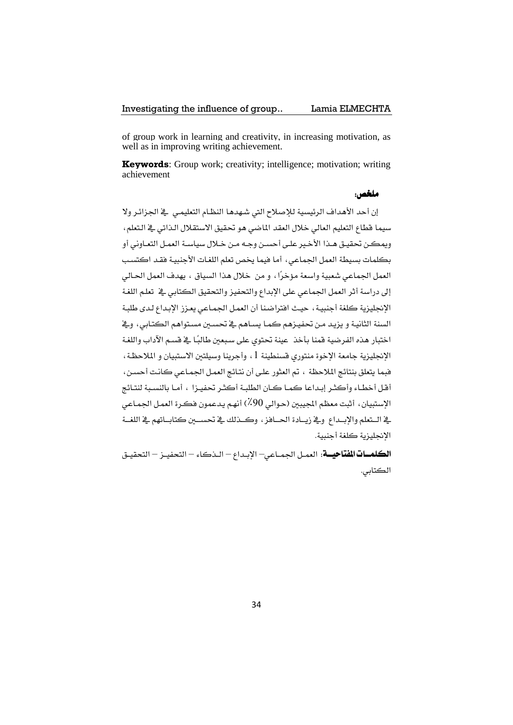#### Investigating the influence of group.. Lamia ELMECHTA

of group work in learning and creativity, in increasing motivation, as well as in improving writing achievement.

**Keywords**: Group work; creativity; intelligence; motivation; writing achievement

#### **ملخص:**

إن أحد الأهداف الرئيسية للإصلاح التي شهدها النظام التعليمي ﴾ الجزائر ولا سيما قطاع التعليم العالي خلال العقد الماضي هو تحقيق الاستقلال الذاتي يخ التعلم، ويمكن تحقيق هـذا الأخير علـى أحسـن وجـه مـن خـلال سياسـة العمـل التعـاونـ ، أو بكلمات بسيطة العمل الجماعي، أما فيما يخص تعلم اللغات الأجنبية فقد اكتسب العمل الجماعي شعبية واسعة مؤخرًا ، و من خلال هذا السياق ، يهدف العمل الحـالي إلى دراسة أثر العمل الجماعي على الإبداع والتحفيز والتحقيق الكتابي يخ تعلم اللغة الإنجليزية كلفة أجنبية ، حيث افتراضنا أن العمل الجماعي يعزز الإبداع لدى طلبة السنة الثانية و يزيد من تحفيزهم كما يساهم ية تحسين مستواهم الكتابي، وية اختبار هذه الفرضية قمنا بأخذ عينة تحتوي على سبعين طالبًا في قسم الآداب واللغة الإنجليزية جامعة الإخوة منتوري قسنطينة 1 ، وأجرينا وسيلتين الاستبيان و الملاحظة، فيما يتعلق بنتائج الملاحظة ، تم العثور على أن نتائج العمل الجماعي كانت أحسن، أقل أخطاء وأكثـر إبـداعا كمـا كـان الطلبـة أكثـر تحفيـزا ، أمـا بالنسـبة لنتـائج الاستبيان، أثبت معظم المجيبين (حوالي 90٪) أنهم يدعمون فكرة العمل الجماعي يخ الستعلم والاسداع ويخ زيبادة الحياهز ، وكيذلك يخ تحسيين كتاساتهم يخ اللغية الانجليزية كلغة أجنبية.

**الكلمـــات الفتاحيـــة**: العمـل الجمــاعي – الإبـداع – الـذكاء – التحفيــز – التحقيـق الكتابي.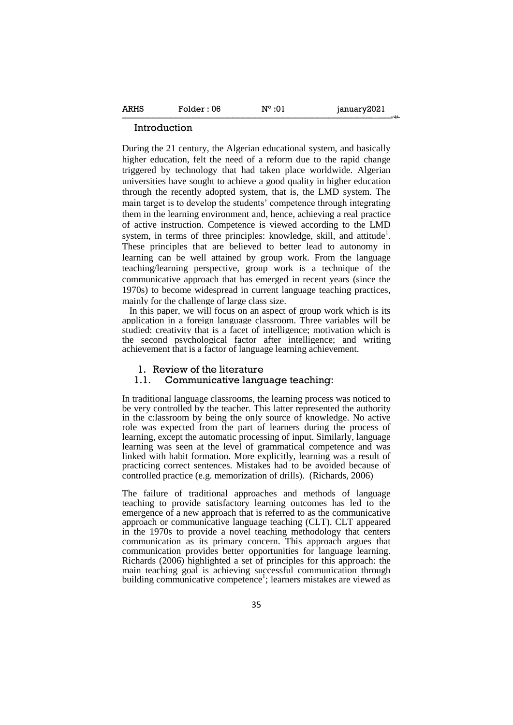#### Introduction

During the 21 century, the Algerian educational system, and basically higher education, felt the need of a reform due to the rapid change triggered by technology that had taken place worldwide. Algerian universities have sought to achieve a good quality in higher education through the recently adopted system, that is, the LMD system. The main target is to develop the students' competence through integrating them in the learning environment and, hence, achieving a real practice of active instruction. Competence is viewed according to the LMD system, in terms of three principles: knowledge, skill, and attitude<sup>1</sup>. These principles that are believed to better lead to autonomy in learning can be well attained by group work. From the language teaching/learning perspective, group work is a technique of the communicative approach that has emerged in recent years (since the 1970s) to become widespread in current language teaching practices, mainly for the challenge of large class size.

---------- - ـــــ-------------------------------------------------------------------------------------------------------------------------------------------------------------------------------------------------------------

In this paper, we will focus on an aspect of group work which is its application in a foreign language classroom. Three variables will be studied: creativity that is a facet of intelligence; motivation which is the second psychological factor after intelligence; and writing achievement that is a factor of language learning achievement.

#### 1. Review of the literature

#### 1.1. Communicative language teaching:

In traditional language classrooms, the learning process was noticed to be very controlled by the teacher. This latter represented the authority in the c:lassroom by being the only source of knowledge. No active role was expected from the part of learners during the process of learning, except the automatic processing of input. Similarly, language learning was seen at the level of grammatical competence and was linked with habit formation. More explicitly, learning was a result of practicing correct sentences. Mistakes had to be avoided because of controlled practice (e.g. memorization of drills). (Richards, 2006)

The failure of traditional approaches and methods of language teaching to provide satisfactory learning outcomes has led to the emergence of a new approach that is referred to as the communicative approach or communicative language teaching (CLT). CLT appeared in the 1970s to provide a novel teaching methodology that centers communication as its primary concern. This approach argues that communication provides better opportunities for language learning. Richards (2006) highlighted a set of principles for this approach: the main teaching goal is achieving successful communication through building communicative competence<sup>1</sup>; learners mistakes are viewed as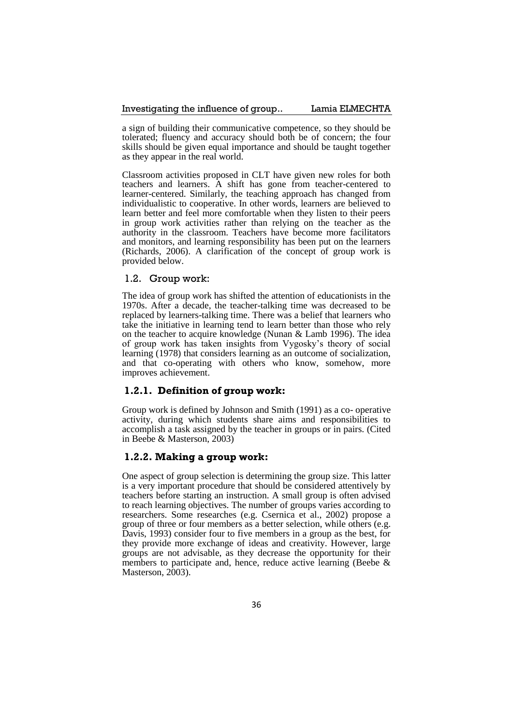a sign of building their communicative competence, so they should be tolerated; fluency and accuracy should both be of concern; the four skills should be given equal importance and should be taught together as they appear in the real world.

Classroom activities proposed in CLT have given new roles for both teachers and learners. A shift has gone from teacher-centered to learner-centered. Similarly, the teaching approach has changed from individualistic to cooperative. In other words, learners are believed to learn better and feel more comfortable when they listen to their peers in group work activities rather than relying on the teacher as the authority in the classroom. Teachers have become more facilitators and monitors, and learning responsibility has been put on the learners (Richards, 2006). A clarification of the concept of group work is provided below.

### 1.2. Group work:

The idea of group work has shifted the attention of educationists in the 1970s. After a decade, the teacher-talking time was decreased to be replaced by learners-talking time. There was a belief that learners who take the initiative in learning tend to learn better than those who rely on the teacher to acquire knowledge (Nunan & Lamb 1996). The idea of group work has taken insights from Vygosky's theory of social learning (1978) that considers learning as an outcome of socialization, and that co-operating with others who know, somehow, more improves achievement.

## **1.2.1. Definition of group work:**

Group work is defined by Johnson and Smith (1991) as a co- operative activity, during which students share aims and responsibilities to accomplish a task assigned by the teacher in groups or in pairs. (Cited in Beebe & Masterson, 2003)

## **1.2.2. Making a group work:**

One aspect of group selection is determining the group size. This latter is a very important procedure that should be considered attentively by teachers before starting an instruction. A small group is often advised to reach learning objectives. The number of groups varies according to researchers. Some researches (e.g. Csernica et al., 2002) propose a group of three or four members as a better selection, while others (e.g. Davis, 1993) consider four to five members in a group as the best, for they provide more exchange of ideas and creativity. However, large groups are not advisable, as they decrease the opportunity for their members to participate and, hence, reduce active learning (Beebe & Masterson, 2003).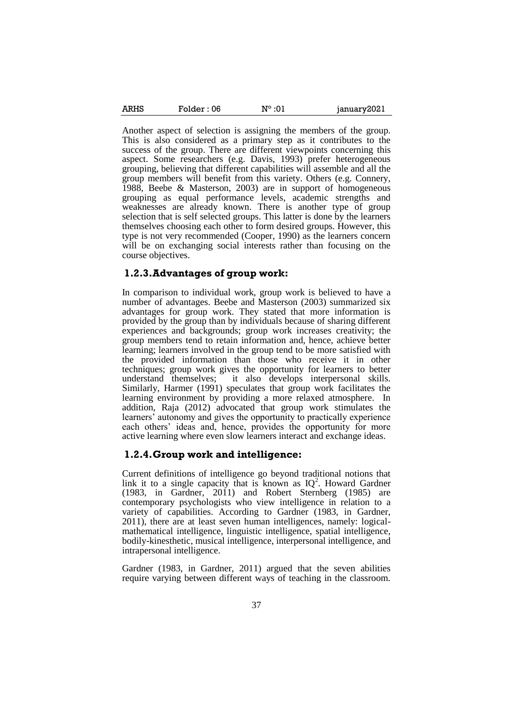| <b>ARHS</b> | Folder : 06 | $N^{\circ}$ :01 | january2021 |
|-------------|-------------|-----------------|-------------|
|-------------|-------------|-----------------|-------------|

Another aspect of selection is assigning the members of the group. This is also considered as a primary step as it contributes to the success of the group. There are different viewpoints concerning this aspect. Some researchers (e.g. Davis, 1993) prefer heterogeneous grouping, believing that different capabilities will assemble and all the group members will benefit from this variety. Others (e.g. Connery, 1988, Beebe & Masterson, 2003) are in support of homogeneous grouping as equal performance levels, academic strengths and weaknesses are already known. There is another type of group selection that is self selected groups. This latter is done by the learners themselves choosing each other to form desired groups. However, this type is not very recommended (Cooper, 1990) as the learners concern will be on exchanging social interests rather than focusing on the course objectives.

#### **1.2.3.Advantages of group work:**

In comparison to individual work, group work is believed to have a number of advantages. Beebe and Masterson (2003) summarized six advantages for group work. They stated that more information is provided by the group than by individuals because of sharing different experiences and backgrounds; group work increases creativity; the group members tend to retain information and, hence, achieve better learning; learners involved in the group tend to be more satisfied with the provided information than those who receive it in other techniques; group work gives the opportunity for learners to better understand themselves; it also develops interpersonal skills. Similarly, Harmer (1991) speculates that group work facilitates the learning environment by providing a more relaxed atmosphere. In addition, Raja (2012) advocated that group work stimulates the learners' autonomy and gives the opportunity to practically experience each others' ideas and, hence, provides the opportunity for more active learning where even slow learners interact and exchange ideas.

#### **1.2.4.Group work and intelligence:**

Current definitions of intelligence go beyond traditional notions that link it to a single capacity that is known as  $IQ^2$ . Howard Gardner (1983, in Gardner, 2011) and Robert Sternberg (1985) are contemporary psychologists who view intelligence in relation to a variety of capabilities. According to Gardner (1983, in Gardner, 2011), there are at least seven human intelligences, namely: logicalmathematical intelligence, linguistic intelligence, spatial intelligence, bodily-kinesthetic, musical intelligence, interpersonal intelligence, and intrapersonal intelligence.

Gardner (1983, in Gardner, 2011) argued that the seven abilities require varying between different ways of teaching in the classroom.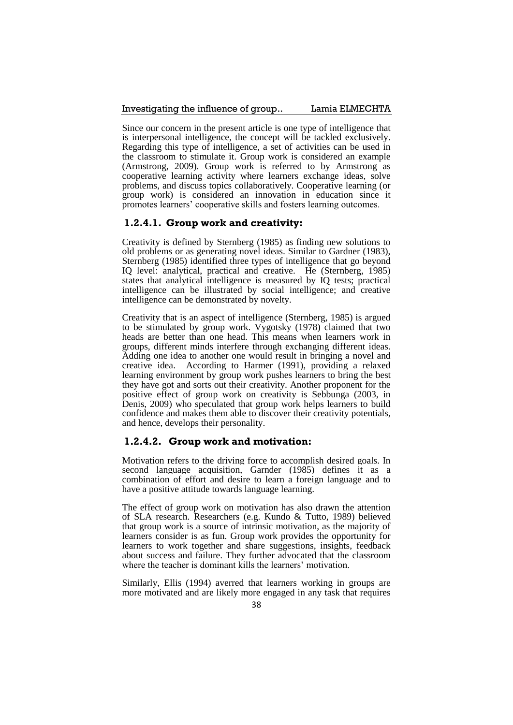#### Investigating the influence of group.. Lamia ELMECHTA

Since our concern in the present article is one type of intelligence that is interpersonal intelligence, the concept will be tackled exclusively. Regarding this type of intelligence, a set of activities can be used in the classroom to stimulate it. Group work is considered an example (Armstrong, 2009). Group work is referred to by Armstrong as cooperative learning activity where learners exchange ideas, solve problems, and discuss topics collaboratively. Cooperative learning (or group work) is considered an innovation in education since it promotes learners' cooperative skills and fosters learning outcomes.

#### **1.2.4.1. Group work and creativity:**

Creativity is defined by Sternberg (1985) as finding new solutions to old problems or as generating novel ideas. Similar to Gardner (1983), Sternberg (1985) identified three types of intelligence that go beyond IQ level: analytical, practical and creative. He (Sternberg, 1985) states that analytical intelligence is measured by IQ tests; practical intelligence can be illustrated by social intelligence; and creative intelligence can be demonstrated by novelty.

Creativity that is an aspect of intelligence (Sternberg, 1985) is argued to be stimulated by group work. Vygotsky (1978) claimed that two heads are better than one head. This means when learners work in groups, different minds interfere through exchanging different ideas. Adding one idea to another one would result in bringing a novel and creative idea. According to Harmer (1991), providing a relaxed learning environment by group work pushes learners to bring the best they have got and sorts out their creativity. Another proponent for the positive effect of group work on creativity is Sebbunga (2003, in Denis, 2009) who speculated that group work helps learners to build confidence and makes them able to discover their creativity potentials, and hence, develops their personality.

#### **1.2.4.2. Group work and motivation:**

Motivation refers to the driving force to accomplish desired goals. In second language acquisition, Garnder (1985) defines it as a combination of effort and desire to learn a foreign language and to have a positive attitude towards language learning.

The effect of group work on motivation has also drawn the attention of SLA research. Researchers (e.g. Kundo & Tutto, 1989) believed that group work is a source of intrinsic motivation, as the majority of learners consider is as fun. Group work provides the opportunity for learners to work together and share suggestions, insights, feedback about success and failure. They further advocated that the classroom where the teacher is dominant kills the learners' motivation.

Similarly, Ellis (1994) averred that learners working in groups are more motivated and are likely more engaged in any task that requires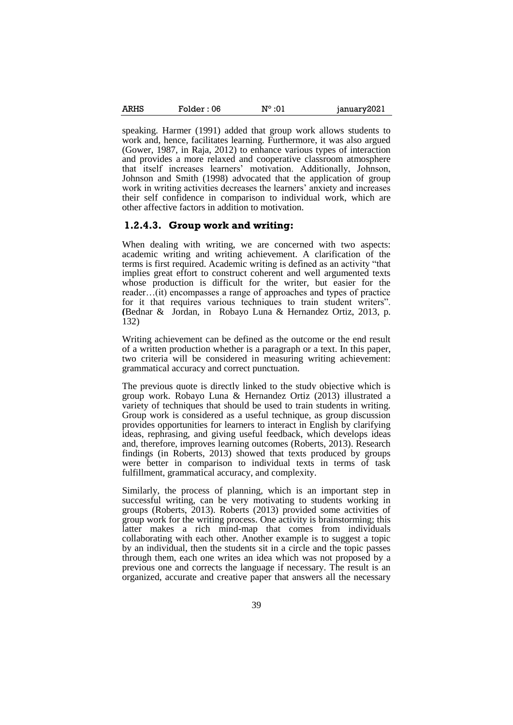| ARHS | Folder : 06 | $N^{\circ}$ :01 | january2021 |
|------|-------------|-----------------|-------------|
|      |             |                 |             |

speaking. Harmer (1991) added that group work allows students to work and, hence, facilitates learning. Furthermore, it was also argued (Gower, 1987, in Raja, 2012) to enhance various types of interaction and provides a more relaxed and cooperative classroom atmosphere that itself increases learners' motivation. Additionally, Johnson, Johnson and Smith (1998) advocated that the application of group work in writing activities decreases the learners' anxiety and increases their self confidence in comparison to individual work, which are other affective factors in addition to motivation.

#### **1.2.4.3. Group work and writing:**

When dealing with writing, we are concerned with two aspects: academic writing and writing achievement. A clarification of the terms is first required. Academic writing is defined as an activity "that implies great effort to construct coherent and well argumented texts whose production is difficult for the writer, but easier for the reader…(it) encompasses a range of approaches and types of practice for it that requires various techniques to train student writers". **(**Bednar &Jordan, in Robayo Luna & Hernandez Ortiz, 2013, p. 132)

Writing achievement can be defined as the outcome or the end result of a written production whether is a paragraph or a text. In this paper, two criteria will be considered in measuring writing achievement: grammatical accuracy and correct punctuation.

The previous quote is directly linked to the study objective which is group work. Robayo Luna & Hernandez Ortiz (2013) illustrated a variety of techniques that should be used to train students in writing. Group work is considered as a useful technique, as group discussion provides opportunities for learners to interact in English by clarifying ideas, rephrasing, and giving useful feedback, which develops ideas and, therefore, improves learning outcomes (Roberts, 2013). Research findings (in Roberts, 2013) showed that texts produced by groups were better in comparison to individual texts in terms of task fulfillment, grammatical accuracy, and complexity.

Similarly, the process of planning, which is an important step in successful writing, can be very motivating to students working in groups (Roberts, 2013). Roberts (2013) provided some activities of group work for the writing process. One activity is brainstorming; this latter makes a rich mind-map that comes from individuals collaborating with each other. Another example is to suggest a topic by an individual, then the students sit in a circle and the topic passes through them, each one writes an idea which was not proposed by a previous one and corrects the language if necessary. The result is an organized, accurate and creative paper that answers all the necessary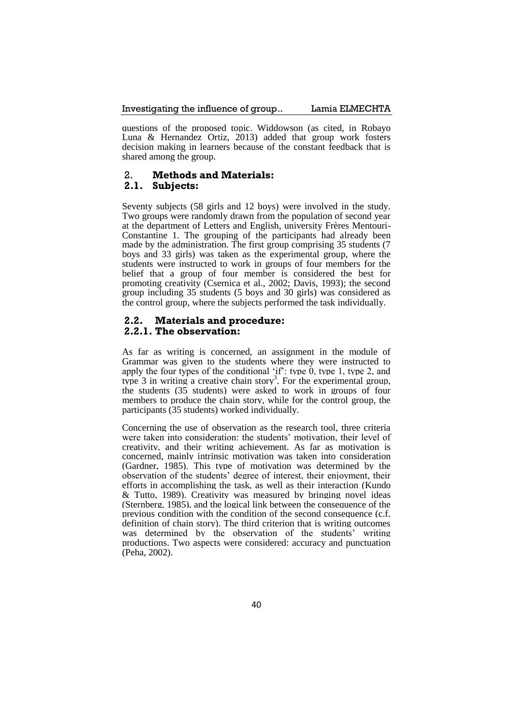questions of the proposed topic. Widdowson (as cited, in Robayo Luna & Hernandez Ortiz, 2013) added that group work fosters decision making in learners because of the constant feedback that is shared among the group.

## 2. **Methods and Materials:**

## **2.1. Subjects:**

Seventy subjects (58 girls and 12 boys) were involved in the study. Two groups were randomly drawn from the population of second year at the department of Letters and English, university Frères Mentouri-Constantine 1. The grouping of the participants had already been made by the administration. The first group comprising 35 students (7 boys and 33 girls) was taken as the experimental group, where the students were instructed to work in groups of four members for the belief that a group of four member is considered the best for promoting creativity (Csernica et al., 2002; Davis, 1993); the second group including 35 students (5 boys and 30 girls) was considered as the control group, where the subjects performed the task individually.

## **2.2. Materials and procedure: 2.2.1. The observation:**

As far as writing is concerned, an assignment in the module of Grammar was given to the students where they were instructed to apply the four types of the conditional 'if': type  $\tilde{0}$ , type 1, type 2, and type  $3$  in writing a creative chain story<sup>3</sup>. For the experimental group, the students (35 students) were asked to work in groups of four members to produce the chain story, while for the control group, the participants (35 students) worked individually.

Concerning the use of observation as the research tool, three criteria were taken into consideration: the students' motivation, their level of creativity, and their writing achievement. As far as motivation is concerned, mainly intrinsic motivation was taken into consideration (Gardner, 1985). This type of motivation was determined by the observation of the students' degree of interest, their enjoyment, their efforts in accomplishing the task, as well as their interaction (Kundo & Tutto, 1989). Creativity was measured by bringing novel ideas (Sternberg, 1985), and the logical link between the consequence of the previous condition with the condition of the second consequence (c.f. definition of chain story). The third criterion that is writing outcomes was determined by the observation of the students' writing productions. Two aspects were considered: accuracy and punctuation (Peha, 2002).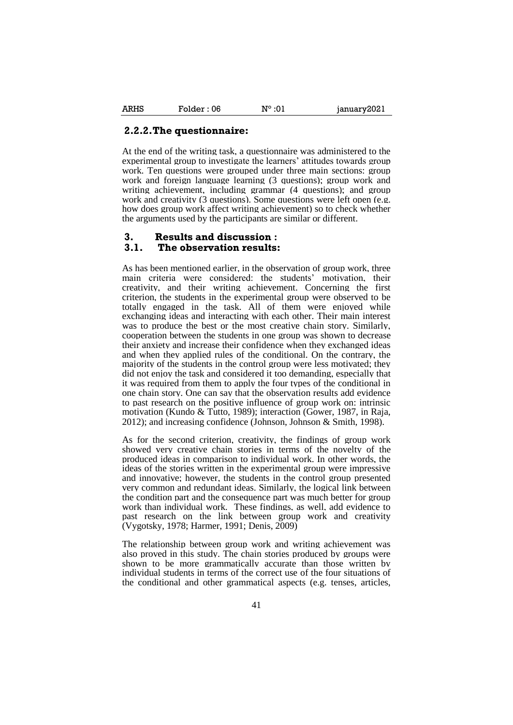#### **2.2.2.The questionnaire:**

At the end of the writing task, a questionnaire was administered to the experimental group to investigate the learners' attitudes towards group work. Ten questions were grouped under three main sections: group work and foreign language learning (3 questions); group work and writing achievement, including grammar (4 questions); and group work and creativity (3 questions). Some questions were left open (e.g. how does group work affect writing achievement) so to check whether the arguments used by the participants are similar or different.

# **3. Results and discussion :**

## **3.1. The observation results:**

As has been mentioned earlier, in the observation of group work, three main criteria were considered: the students' motivation, their creativity, and their writing achievement. Concerning the first criterion, the students in the experimental group were observed to be totally engaged in the task. All of them were enjoyed while exchanging ideas and interacting with each other. Their main interest was to produce the best or the most creative chain story. Similarly, cooperation between the students in one group was shown to decrease their anxiety and increase their confidence when they exchanged ideas and when they applied rules of the conditional. On the contrary, the majority of the students in the control group were less motivated; they did not enjoy the task and considered it too demanding, especially that it was required from them to apply the four types of the conditional in one chain story. One can say that the observation results add evidence to past research on the positive influence of group work on: intrinsic motivation (Kundo & Tutto, 1989); interaction (Gower, 1987, in Raja, 2012); and increasing confidence (Johnson, Johnson & Smith, 1998).

As for the second criterion, creativity, the findings of group work showed very creative chain stories in terms of the novelty of the produced ideas in comparison to individual work. In other words, the ideas of the stories written in the experimental group were impressive and innovative; however, the students in the control group presented very common and redundant ideas. Similarly, the logical link between the condition part and the consequence part was much better for group work than individual work. These findings, as well, add evidence to past research on the link between group work and creativity (Vygotsky, 1978; Harmer, 1991; Denis, 2009)

The relationship between group work and writing achievement was also proved in this study. The chain stories produced by groups were shown to be more grammatically accurate than those written by individual students in terms of the correct use of the four situations of the conditional and other grammatical aspects (e.g. tenses, articles,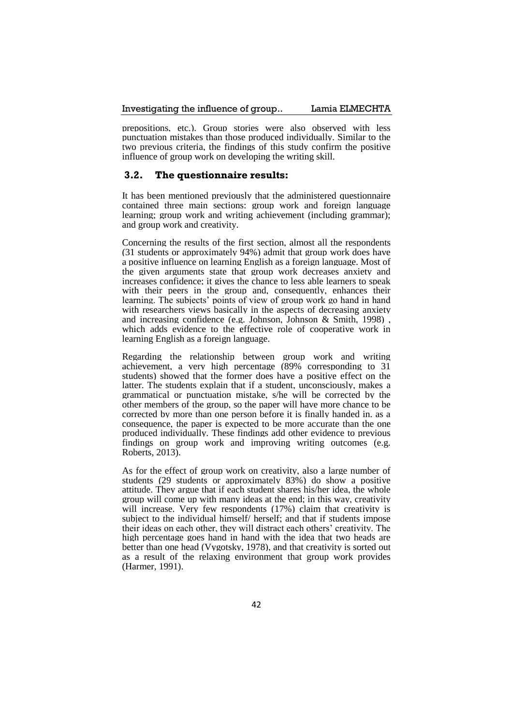#### Investigating the influence of group.. Lamia ELMECHTA

prepositions, etc.). Group stories were also observed with less punctuation mistakes than those produced individually. Similar to the two previous criteria, the findings of this study confirm the positive influence of group work on developing the writing skill.

#### **3.2. The questionnaire results:**

It has been mentioned previously that the administered questionnaire contained three main sections: group work and foreign language learning; group work and writing achievement (including grammar); and group work and creativity.

Concerning the results of the first section, almost all the respondents (31 students or approximately 94%) admit that group work does have a positive influence on learning English as a foreign language. Most of the given arguments state that group work decreases anxiety and increases confidence; it gives the chance to less able learners to speak with their peers in the group and, consequently, enhances their learning. The subjects' points of view of group work go hand in hand with researchers views basically in the aspects of decreasing anxiety and increasing confidence (e.g. Johnson, Johnson & Smith, 1998) , which adds evidence to the effective role of cooperative work in learning English as a foreign language.

Regarding the relationship between group work and writing achievement, a very high percentage (89% corresponding to 31 students) showed that the former does have a positive effect on the latter. The students explain that if a student, unconsciously, makes a grammatical or punctuation mistake, s/he will be corrected by the other members of the group, so the paper will have more chance to be corrected by more than one person before it is finally handed in. as a consequence, the paper is expected to be more accurate than the one produced individually. These findings add other evidence to previous findings on group work and improving writing outcomes (e.g. Roberts, 2013).

As for the effect of group work on creativity, also a large number of students (29 students or approximately 83%) do show a positive attitude. They argue that if each student shares his/her idea, the whole group will come up with many ideas at the end; in this way, creativity will increase. Very few respondents (17%) claim that creativity is subject to the individual himself/ herself; and that if students impose their ideas on each other, they will distract each others' creativity. The high percentage goes hand in hand with the idea that two heads are better than one head (Vygotsky, 1978), and that creativity is sorted out as a result of the relaxing environment that group work provides (Harmer, 1991).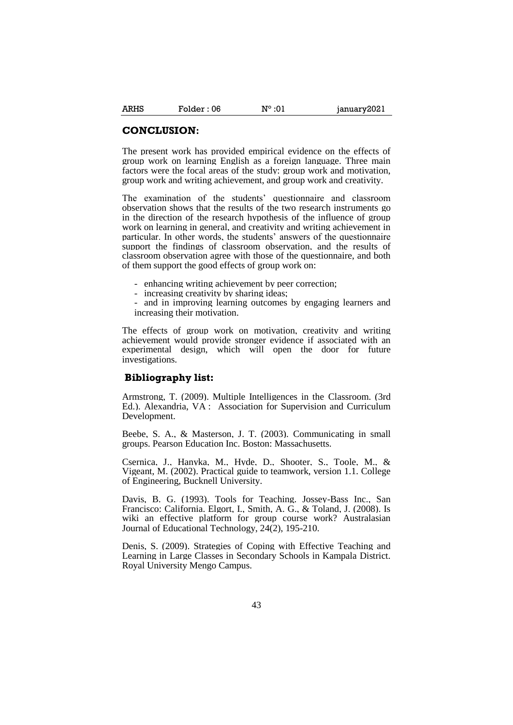#### **CONCLUSION:**

The present work has provided empirical evidence on the effects of group work on learning English as a foreign language. Three main factors were the focal areas of the study: group work and motivation, group work and writing achievement, and group work and creativity.

The examination of the students' questionnaire and classroom observation shows that the results of the two research instruments go in the direction of the research hypothesis of the influence of group work on learning in general, and creativity and writing achievement in particular. In other words, the students' answers of the questionnaire support the findings of classroom observation, and the results of classroom observation agree with those of the questionnaire, and both of them support the good effects of group work on:

- enhancing writing achievement by peer correction;
- increasing creativity by sharing ideas;
- and in improving learning outcomes by engaging learners and increasing their motivation.

The effects of group work on motivation, creativity and writing achievement would provide stronger evidence if associated with an experimental design, which will open the door for future investigations.

#### **Bibliography list:**

Armstrong, T. (2009). Multiple Intelligences in the Classroom. (3rd Ed.). Alexandria, VA : Association for Supervision and Curriculum Development.

Beebe, S. A., & Masterson, J. T. (2003). Communicating in small groups. Pearson Education Inc. Boston: Massachusetts.

Csernica, J., Hanyka, M., Hyde, D., Shooter, S., Toole, M., & Vigeant, M. (2002). Practical guide to teamwork, version 1.1. College of Engineering, Bucknell University.

Davis, B. G. (1993). Tools for Teaching. Jossey-Bass Inc., San Francisco: California. Elgort, I., Smith, A. G., & Toland, J. (2008). Is wiki an effective platform for group course work? Australasian Journal of Educational Technology, 24(2), 195-210.

Denis, S. (2009). Strategies of Coping with Effective Teaching and Learning in Large Classes in Secondary Schools in Kampala District. Royal University Mengo Campus.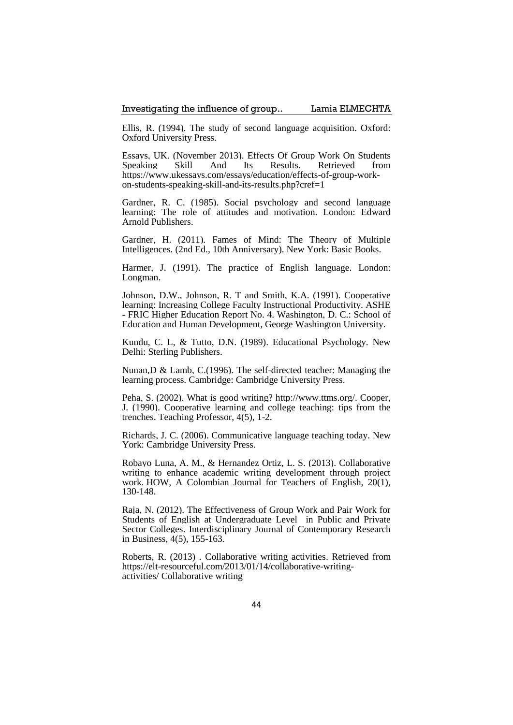Ellis, R. (1994). The study of second language acquisition. Oxford: Oxford University Press.

Essays, UK. (November 2013). Effects Of Group Work On Students Speaking Skill And Its Results. Retrieved from https://www.ukessays.com/essays/education/effects-of-group-workon-students-speaking-skill-and-its-results.php?cref=1

Gardner, R. C. (1985). Social psychology and second language learning: The role of attitudes and motivation. London: Edward Arnold Publishers.

Gardner, H. (2011). Fames of Mind: The Theory of Multiple Intelligences. (2nd Ed., 10th Anniversary). New York: Basic Books.

Harmer, J. (1991). The practice of English language. London: Longman.

Johnson, D.W., Johnson, R. T and Smith, K.A. (1991). Cooperative learning: Increasing College Faculty Instructional Productivity. ASHE - FRIC Higher Education Report No. 4. Washington, D. C.: School of Education and Human Development, George Washington University.

Kundu, C. L, & Tutto, D.N. (1989). Educational Psychology. New Delhi: Sterling Publishers.

Nunan,D & Lamb, C.(1996). The self-directed teacher: Managing the learning process. Cambridge: Cambridge University Press.

Peha, S. (2002). What is good writing? http://www.ttms.org/. Cooper, J. (1990). Cooperative learning and college teaching: tips from the trenches. Teaching Professor, 4(5), 1-2.

Richards, J. C. (2006). Communicative language teaching today. New York: Cambridge University Press.

Robayo Luna, A. M., & Hernandez Ortiz, L. S. (2013). Collaborative writing to enhance academic writing development through project work. HOW, A Colombian Journal for Teachers of English, 20(1), 130-148.

Raja, N. (2012). The Effectiveness of Group Work and Pair Work for Students of English at Undergraduate Level in Public and Private Sector Colleges. Interdisciplinary Journal of Contemporary Research in Business, 4(5), 155-163.

Roberts, R. (2013) . [Collaborative writing activities.](file:///C:/Users/AppData/Local/Temp/Rar$DIa5108.32549/Collaborative%20writing%20activities) Retrieved from [https://elt-resourceful.com/2013/01/14/collaborative-writing](https://elt-resourceful.com/2013/01/14/collaborative-writing-activities/)[activities/](https://elt-resourceful.com/2013/01/14/collaborative-writing-activities/) Collaborative writing